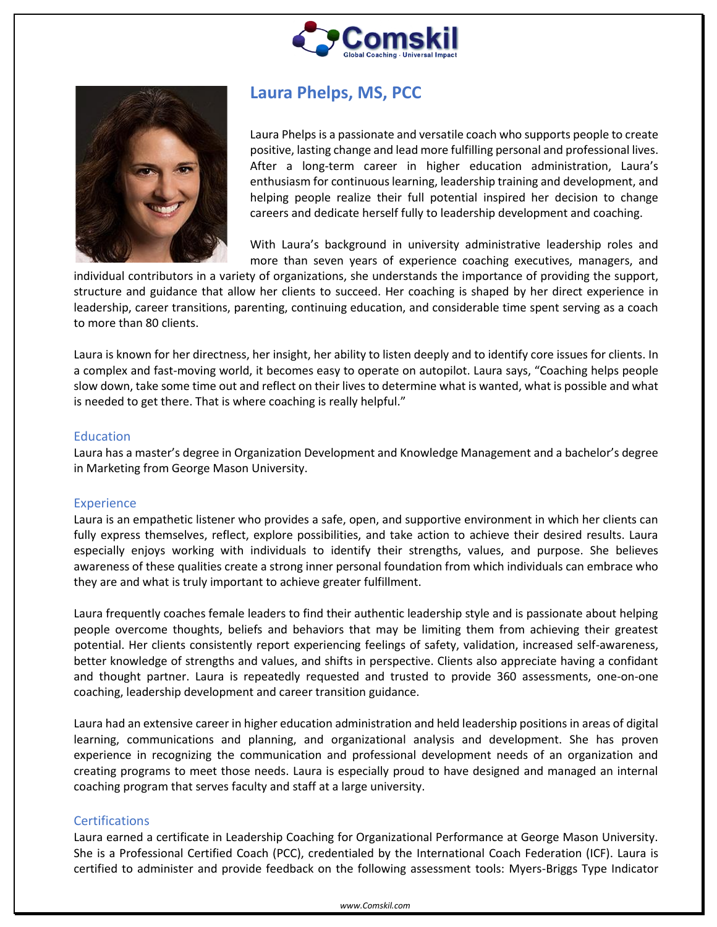



# **Laura Phelps, MS, PCC**

Laura Phelps is a passionate and versatile coach who supports people to create positive, lasting change and lead more fulfilling personal and professional lives. After a long-term career in higher education administration, Laura's enthusiasm for continuous learning, leadership training and development, and helping people realize their full potential inspired her decision to change careers and dedicate herself fully to leadership development and coaching.

With Laura's background in university administrative leadership roles and more than seven years of experience coaching executives, managers, and

individual contributors in a variety of organizations, she understands the importance of providing the support, structure and guidance that allow her clients to succeed. Her coaching is shaped by her direct experience in leadership, career transitions, parenting, continuing education, and considerable time spent serving as a coach to more than 80 clients.

Laura is known for her directness, her insight, her ability to listen deeply and to identify core issues for clients. In a complex and fast-moving world, it becomes easy to operate on autopilot. Laura says, "Coaching helps people slow down, take some time out and reflect on their lives to determine what is wanted, what is possible and what is needed to get there. That is where coaching is really helpful."

#### Education

Laura has a master's degree in Organization Development and Knowledge Management and a bachelor's degree in Marketing from George Mason University.

#### **Experience**

Laura is an empathetic listener who provides a safe, open, and supportive environment in which her clients can fully express themselves, reflect, explore possibilities, and take action to achieve their desired results. Laura especially enjoys working with individuals to identify their strengths, values, and purpose. She believes awareness of these qualities create a strong inner personal foundation from which individuals can embrace who they are and what is truly important to achieve greater fulfillment.

Laura frequently coaches female leaders to find their authentic leadership style and is passionate about helping people overcome thoughts, beliefs and behaviors that may be limiting them from achieving their greatest potential. Her clients consistently report experiencing feelings of safety, validation, increased self-awareness, better knowledge of strengths and values, and shifts in perspective. Clients also appreciate having a confidant and thought partner. Laura is repeatedly requested and trusted to provide 360 assessments, one-on-one coaching, leadership development and career transition guidance.

Laura had an extensive career in higher education administration and held leadership positions in areas of digital learning, communications and planning, and organizational analysis and development. She has proven experience in recognizing the communication and professional development needs of an organization and creating programs to meet those needs. Laura is especially proud to have designed and managed an internal coaching program that serves faculty and staff at a large university.

### **Certifications**

Laura earned a certificate in Leadership Coaching for Organizational Performance at George Mason University. She is a Professional Certified Coach (PCC), credentialed by the International Coach Federation (ICF). Laura is certified to administer and provide feedback on the following assessment tools: Myers-Briggs Type Indicator